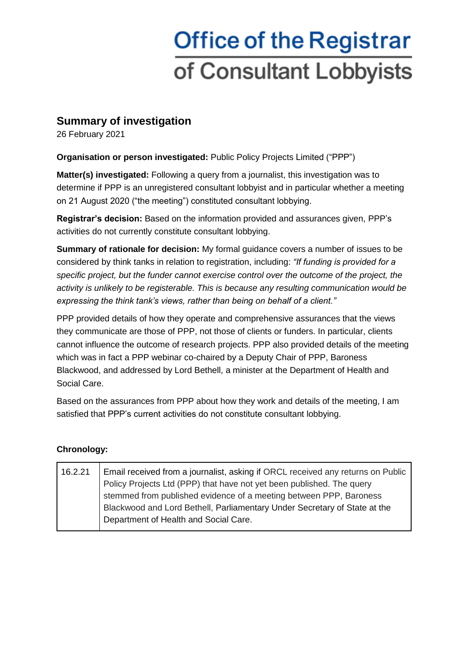## **Office of the Registrar** of Consultant Lobbyists

## **Summary of investigation**

26 February 2021

**Organisation or person investigated:** Public Policy Projects Limited ("PPP")

**Matter(s) investigated:** Following a query from a journalist, this investigation was to determine if PPP is an unregistered consultant lobbyist and in particular whether a meeting on 21 August 2020 ("the meeting") constituted consultant lobbying.

**Registrar's decision:** Based on the information provided and assurances given, PPP's activities do not currently constitute consultant lobbying.

**Summary of rationale for decision:** My formal guidance covers a number of issues to be considered by think tanks in relation to registration, including: *"If funding is provided for a specific project, but the funder cannot exercise control over the outcome of the project, the activity is unlikely to be registerable. This is because any resulting communication would be expressing the think tank's views, rather than being on behalf of a client."*

PPP provided details of how they operate and comprehensive assurances that the views they communicate are those of PPP, not those of clients or funders. In particular, clients cannot influence the outcome of research projects. PPP also provided details of the meeting which was in fact a PPP webinar co-chaired by a Deputy Chair of PPP, Baroness Blackwood, and addressed by Lord Bethell, a minister at the Department of Health and Social Care.

Based on the assurances from PPP about how they work and details of the meeting, I am satisfied that PPP's current activities do not constitute consultant lobbying.

## **Chronology:**

| 16.2.21 | Email received from a journalist, asking if ORCL received any returns on Public |
|---------|---------------------------------------------------------------------------------|
|         |                                                                                 |
|         | Policy Projects Ltd (PPP) that have not yet been published. The query           |
|         | stemmed from published evidence of a meeting between PPP, Baroness              |
|         | Blackwood and Lord Bethell, Parliamentary Under Secretary of State at the       |
|         | Department of Health and Social Care.                                           |
|         |                                                                                 |